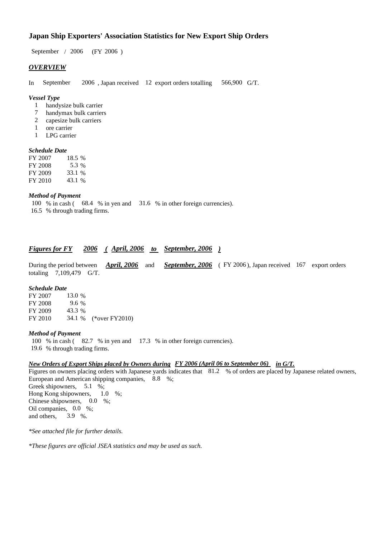### **Japan Ship Exporters' Association Statistics for New Export Ship Orders**

 $/ 2006$  (FY 2006) September / 2006

### *OVERVIEW*

In September 2006, Japan received 12 export orders totalling 566,900 G/T. 566,900 G/T.

#### *Vessel Type*

- handysize bulk carrier 1
- handymax bulk carriers 7
- capesize bulk carriers 2
- ore carrier 1
- LPG carrier 1

### *Schedule Date*

FY 2007 FY 2008 FY 2009 FY 2010 33.1 18.5 % 5.3 % 43.1 %

#### *Method of Payment*

100 % in cash (68.4 % in yen and 31.6 % in other foreign currencies). % through trading firms. 16.5

#### *<u>Figures for FY 2006 (April, 2006 to September, 2006)</u> September, 2006*

During the period between *April, 2006* and *September, 2006* (FY 2006), Japan received 167 export orders totaling 7,109,479 G/T. *April, 2006*

#### *Schedule Date*

FY 2007 FY 2008 FY 2009 FY 2010 34.1 % (\*over FY 2010) 13.0 % 43.3 9.6

#### *Method of Payment*

100 % in cash (82.7 % in yen and 17.3 % in other foreign currencies). % through trading firms. 19.6

#### *New Orders of Export Ships placed by Owners during FY 2006 (April 06 to September 06) in G/T.*

Figures on owners placing orders with Japanese yards indicates that 81.2 % of orders are placed by Japanese related owners, European and American shipping companies, 8.8 %; Greek shipowners, 5.1 %; Hong Kong shipowners,  $1.0\%$ ; Chinese shipowners,  $0.0\%$ ; Oil companies, 0.0 %; and others, 3.9 %. 1.0

*\*See attached file for further details.*

*\*These figures are official JSEA statistics and may be used as such.*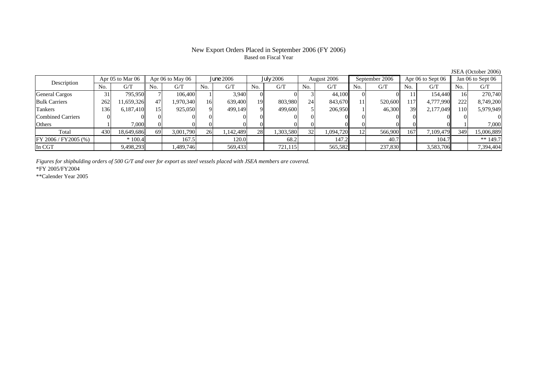# Based on Fiscal Year

No. G/T No. G/T No. G/T No. G/T No. G/T No. G/T No. G/T No. G/TGeneral Cargos | 31 795,950 7 106,400 1 3,940 0 0 3 44,100 0 0 11 154,440 16 270,740 Bulk Carriers | 262 | 11,659,326 | 47 | 1,970,340 | 16 | 639,400 | 19 803,980 24 843,670 | 11 | 520,600 | 117 | 4,777,990 | 222 | 8,749,200 Tankers | 136| 6,187,410|| 15| 925,050| 9| 499,149| 9| 499,600| 5| 206,950| 1| 46,300| 39| 2,177,049|| 110| 5,979,949 Combined Carriers 0 0 0 0 0 0 0 0 0 0 0 0 0 0 0 0Others | 1 | 7,000 || 0 || 0 || 0 || 0 || 0 || 0 || 0 || 1 | 7,000 || 1 | Total 430 18,649,686 69 3,001,790 26 1,142,489 28 1,303,580 32 1,094,720 12 566,900 167 7,109,479 349 15,006,889 FY 2006 / FY2005 (%) \* 100.4 167.5 120.0 120.0 120.2 147.2 40.7 104.7 104.7 \*\* 149.7 In CGT | | 9,498,293| | 1,489,746| | 569,433| | 721,115| | 565,582| | 237,830| | 3,583,706|| | 7,394,404 Apr 05 to Mar 06 Apr 06 to May 06 June<sup>2006</sup> July<sup>2006</sup> August 2006 September 2006 Apr 06 to Sept 06 Jan 06 to Sept 06 Description

*Figures for shipbulding orders of 500 G/T and over for export as steel vessels placed with JSEA members are covered.*

\*FY 2005/FY2004

\*\*Calender Year 2005

JSEA (October 2006)

# New Export Orders Placed in September 2006 (FY 2006)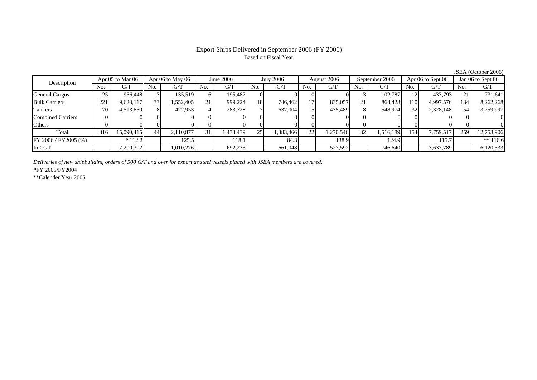### Export Ships Delivered in September 2006 (FY 2006) Based on Fiscal Year

No. I G/T II No. I G/T II No. I G/T II No. I G/T G/T II No. I G/T II No. I G/T II No. I G/T II No. I G/T II No  $G/T$ General Cargos ( 25 956,448 3 135,519 6 195,487 0 0 0 0 0 3 102,787 12 433,793 21 731,641 Bulk Carriers 221 9,620,117 33 1,552,405 21 999,224 18 746,462 17 835,057 21 864,428 110 4,997,576 184 8,262,268 Tankers | 70 4,513,850 8 422,953 4 283,728 7 637,004 5 435,489 8 548,974 32 2,328,148 54 3,759,997 Combined Carriers 0 0 0 0 0 0 0 0 0 0 0 0 0 0 0 0Others | 0 | 0 | 0 | 0 | 0 | 0 | 0 | 0 | 0 | 0 | 0 | 0 Total 316 15,090,415 44 2,110,877 31 1,478,439 25 1,383,466 22 1,270,546 32 1,516,189 154 7,759,517 259 12,753,906 FY 2006 / FY2005 (%) \* 112.2 125.5 118.1 84.3 138.9 124.9 115.7 \*\* 116.6 In CGT | | 7,200,302|| | 1,010,276 | | 692,233 | | 661,048 | | 527,592 | | 746,640 | | 3,637,789 | | 6,120,533 Description Apr 05 to Mar 06 Apr 06 to May 06 June 2006 July 2006 August 2006 September 2006 Apr 06 to Sept 06 Jun 06 to Sept 06

*Deliveries of new shipbuilding orders of 500 G/T and over for export as steel vessels placed with JSEA members are covered.*

\*FY 2005/FY2004

\*\*Calender Year 2005

JSEA (October 2006)